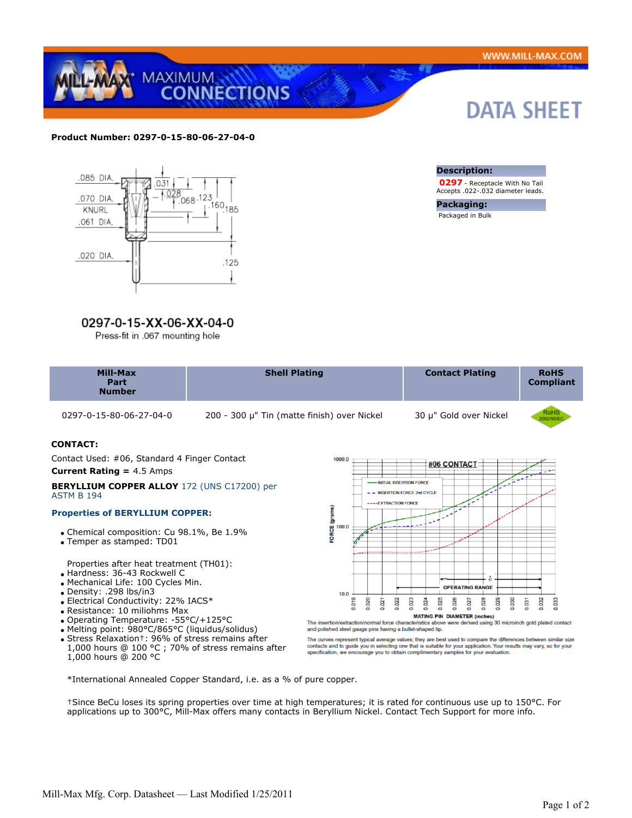

## **Product Number: 0297-0-15-80-06-27-04-0**



# 0297-0-15-XX-06-XX-04-0

Press-fit in .067 mounting hole

# **DATA SHEET**



Accepts .022-.032 diameter leads.

**Packaging:** Packaged in Bulk

| <b>Mill-Max</b><br>Part<br><b>Number</b> | <b>Shell Plating</b> | <b>Contact Plating</b> | <b>RoHS</b><br><b>Compliant</b> |
|------------------------------------------|----------------------|------------------------|---------------------------------|
|                                          |                      |                        |                                 |

0297-0-15-80-06-27-04-0 200 - 300 μ" Tin (matte finish) over Nickel 30 μ" Gold over Nickel



# **CONTACT:** Contact Used: #06, Standard 4 Finger Contact **Current Rating =** 4.5 Amps

#### **BERYLLIUM COPPER ALLOY** 172 (UNS C17200) per ASTM B 194

# **Properties of BERYLLIUM COPPER:**

- Chemical composition: Cu 98.1%, Be 1.9%
- Temper as stamped: TD01

Properties after heat treatment (TH01):

- Hardness: 36-43 Rockwell C
- Mechanical Life: 100 Cycles Min.
- Density: .298 lbs/in3
- Electrical Conductivity: 22% IACS\*
- Resistance: 10 miliohms Max
- Operating Temperature: -55°C/+125°C
- Melting point: 980°C/865°C (liquidus/solidus)
- Stress Relaxation†: 96% of stress remains after 1,000 hours @ 100 °C ; 70% of stress remains after
- 1,000 hours @ 200 °C



and polished steel gauge pins having a bullet-shaped tip. The curves represent typical average values; they are best used to compare the differences between similar size<br>contacts and to guide you in selecting one that is suitable for your application. Your results may vary, so fo

\*International Annealed Copper Standard, i.e. as a % of pure copper.

†Since BeCu loses its spring properties over time at high temperatures; it is rated for continuous use up to 150°C. For applications up to 300°C, Mill-Max offers many contacts in Beryllium Nickel. Contact Tech Support for more info.